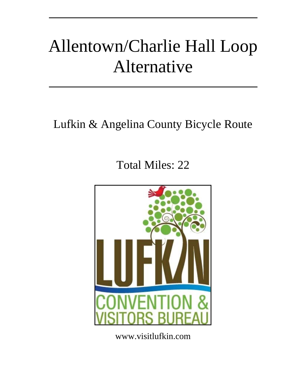# Allentown/Charlie Hall Loop Alternative

# Lufkin & Angelina County Bicycle Route

# Total Miles: 22



www.visitlufkin.com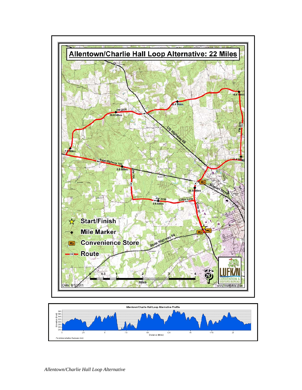

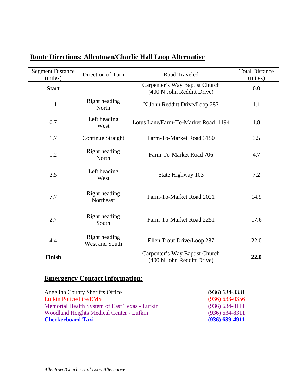| <b>Segment Distance</b><br>(miles) | Direction of Turn               | Road Traveled                                                | <b>Total Distance</b><br>(miles) |
|------------------------------------|---------------------------------|--------------------------------------------------------------|----------------------------------|
| <b>Start</b>                       |                                 | Carpenter's Way Baptist Church<br>(400 N John Redditt Drive) | 0.0                              |
| 1.1                                | Right heading<br>North          | N John Redditt Drive/Loop 287                                | 1.1                              |
| 0.7                                | Left heading<br>West            | Lotus Lane/Farm-To-Market Road 1194                          | 1.8                              |
| 1.7                                | Continue Straight               | Farm-To-Market Road 3150                                     | 3.5                              |
| 1.2                                | Right heading<br>North          | Farm-To-Market Road 706                                      | 4.7                              |
| 2.5                                | Left heading<br>West            | State Highway 103                                            | 7.2                              |
| 7.7                                | Right heading<br>Northeast      | Farm-To-Market Road 2021                                     | 14.9                             |
| 2.7                                | Right heading<br>South          | Farm-To-Market Road 2251                                     | 17.6                             |
| 4.4                                | Right heading<br>West and South | Ellen Trout Drive/Loop 287                                   | 22.0                             |
| <b>Finish</b>                      |                                 | Carpenter's Way Baptist Church<br>(400 N John Redditt Drive) | 22.0                             |

### **Route Directions: Allentown/Charlie Hall Loop Alternative**

### **Emergency Contact Information:**

| Angelina County Sheriffs Office               | $(936)$ 634-3331   |
|-----------------------------------------------|--------------------|
| <b>Lufkin Police/Fire/EMS</b>                 | $(936)$ 633-0356   |
| Memorial Health System of East Texas - Lufkin | $(936) 634 - 8111$ |
| Woodland Heights Medical Center - Lufkin      | $(936) 634 - 8311$ |
| <b>Checkerboard Taxi</b>                      | $(936) 639 - 4911$ |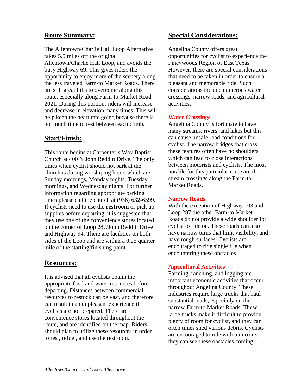#### **Route Summary:**

The Allentown/Charlie Hall Loop Alternative takes 5.5 miles off the original Allentown/Charlie Hall Loop, and avoids the busy Highway 69. This gives riders the opportunity to enjoy more of the scenery along the less traveled Farm-to Market Roads. There are still great hills to overcome along this route, especially along Farm-to-Market Road 2021. During this portion, riders will increase and decrease in elevation many times. This will help keep the heart rate going because there is not much time to rest between each climb.

#### **Start/Finish:**

This route begins at Carpenter's Way Baptist Church at 400 N John Redditt Drive. The only times when cyclist should not park at the church is during worshiping hours which are Sunday mornings, Monday nights, Tuesday mornings, and Wednesday nights. For further information regarding appropriate parking times please call the church at (936) 632-6599. If cyclists need to use the **restroom** or pick up supplies before departing, it is suggested that they use one of the convenience stores located on the corner of Loop 287/John Redditt Drive and Highway 94. There are facilities on both sides of the Loop and are within a 0.25 quarter mile of the starting/finishing point.

#### **Resources:**

It is advised that all cyclists obtain the appropriate food and water resources before departing. Distances between commercial resources to restock can be vast, and therefore can result in an unpleasant experience if cyclists are not prepared. There are convenience stores located throughout the route, and are identified on the map. Riders should plan to utilize these resources in order to rest, refuel, and use the restroom.

#### **Special Considerations:**

Angelina County offers great opportunities for cyclist to experience the Pineywoods Region of East Texas. However, there are special considerations that need to be taken in order to ensure a pleasant and memorable ride. Such considerations include numerous water crossings, narrow roads, and agricultural activities.

#### **Water Crossings**

Angelina County is fortunate to have many streams, rivers, and lakes but this can cause unsafe road conditions for cyclist. The narrow bridges that cross these features often have no shoulders which can lead to close interactions between motorists and cyclists. The most notable for this particular route are the stream crossings along the Farm-to-Market Roads.

#### **Narrow Roads**

With the exception of Highway 103 and Loop 287 the other Farm-to Market Roads do not provide a wide shoulder for cyclist to ride on. These roads can also have narrow turns that limit visibility, and have rough surfaces. Cyclists are encouraged to ride single file when encountering these obstacles.

#### **Agricultural Activities**

Farming, ranching, and logging are important economic activities that occur throughout Angelina County. These industries require large trucks that haul substantial loads; especially on the narrow Farm-to Market Roads. These large trucks make it difficult to provide plenty of room for cyclist, and they can often times shed various debris. Cyclists are encouraged to ride with a mirror so they can see these obstacles coming.